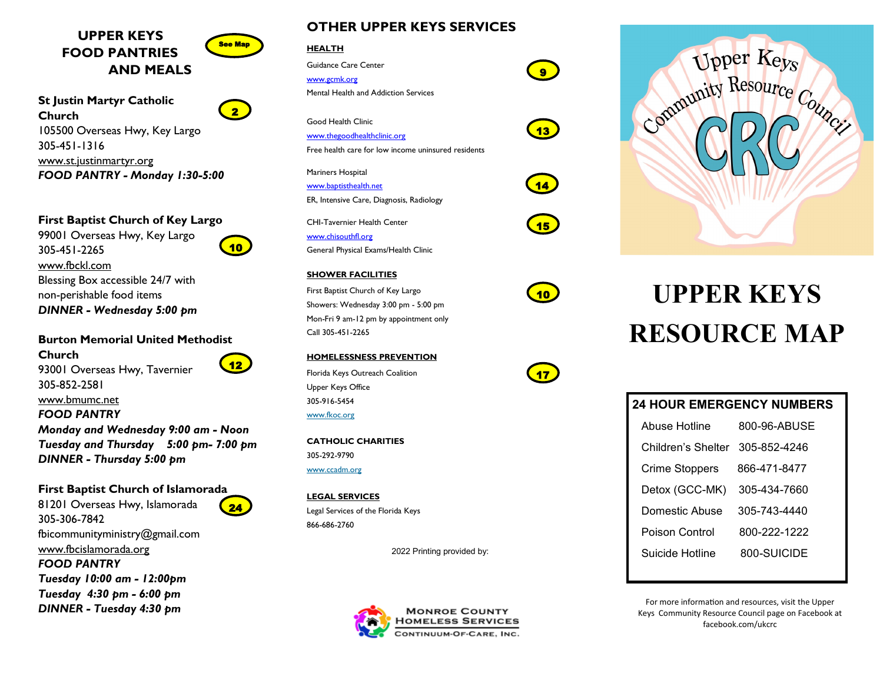

**St Justin Martyr Catholic Church** 105500 Overseas Hwy, Key Largo 305-451-1316 www.st.justinmartyr.org *FOOD PANTRY - Monday 1:30-5:00*

**First Baptist Church of Key Largo**

99001 Overseas Hwy, Key Largo 305-451-2265 www.fbckl.com Blessing Box accessible 24/7 with non-perishable food items *DINNER - Wednesday 5:00 pm*

**Burton Memorial United Methodist Church** 93001 Overseas Hwy, Tavernier 305-852-2581 www.bmumc.net *FOOD PANTRY Monday and Wednesday 9:00 am - Noon Tuesday and Thursday 5:00 pm- 7:00 pm DINNER - Thursday 5:00 pm* 12

### **First Baptist Church of Islamorada**

81201 Overseas Hwy, Islamorada 305-306-7842 fbicommunityministry@gmail.com www.fbcislamorada.org *FOOD PANTRY Tuesday 10:00 am - 12:00pm Tuesday 4:30 pm - 6:00 pm DINNER - Tuesday 4:30 pm*



 $2<sup>1</sup>$ 

10

24

**OTHER UPPER KEYS SERVICES**

### **HEALTH**

Guidance Care Center

www.gcmk.org Mental Health and Addiction Services

Good Health Clinic

www.thegoodhealthclinic.org Free health care for low income uninsured residents

Mariners Hospital www.baptisthealth.net ER, Intensive Care, Diagnosis, Radiology

CHI-Tavernier Health Center www.chisouthfl.org

General Physical Exams/Health Clinic

### **SHOWER FACILITIES**

First Baptist Church of Key Largo Showers: Wednesday 3:00 pm - 5:00 pm Mon-Fri 9 am-12 pm by appointment only Call 305-451-2265

#### **HOMELESSNESS PREVENTION**

Florida Keys Outreach Coalition Upper Keys Office 305-916-5454 www.fkoc.org

**CATHOLIC CHARITIES** 305-292-9790 www.ccadm.org

**LEGAL SERVICES** Legal Services of the Florida Keys 866-686-2760

2022 Printing provided by:





**UPPER KEYS RESOURCE MAP**

| <b>24 HOUR EMERGENCY NUMBERS</b> |                    |              |
|----------------------------------|--------------------|--------------|
|                                  | Abuse Hotline      | 800-96-ABUSE |
|                                  | Children's Shelter | 305-852-4246 |
|                                  | Crime Stoppers     | 866-471-8477 |
|                                  | Detox (GCC-MK)     | 305-434-7660 |
|                                  | Domestic Abuse     | 305-743-4440 |
|                                  | Poison Control     | 800-222-1222 |
|                                  | Suicide Hotline    | 800-SUICIDE  |
|                                  |                    |              |

For more information and resources, visit the Upper Keys Community Resource Council page on Facebook at facebook.com/ukcrc



10

9

13

14

15